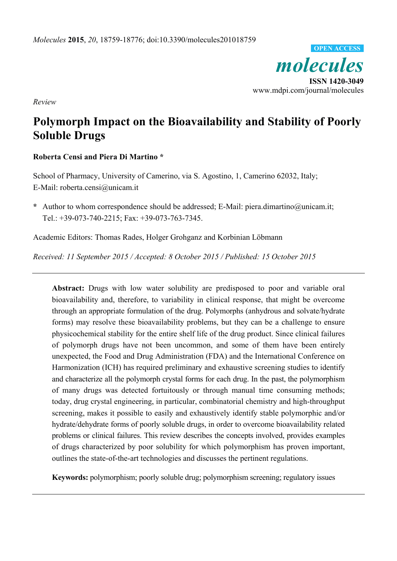

*Review* 

# **Polymorph Impact on the Bioavailability and Stability of Poorly Soluble Drugs**

## **Roberta Censi and Piera Di Martino \***

School of Pharmacy, University of Camerino, via S. Agostino, 1, Camerino 62032, Italy; E-Mail: roberta.censi@unicam.it

**\*** Author to whom correspondence should be addressed; E-Mail: piera.dimartino@unicam.it; Tel.: +39-073-740-2215; Fax: +39-073-763-7345.

Academic Editors: Thomas Rades, Holger Grohganz and Korbinian Löbmann

*Received: 11 September 2015 / Accepted: 8 October 2015 / Published: 15 October 2015* 

**Abstract:** Drugs with low water solubility are predisposed to poor and variable oral bioavailability and, therefore, to variability in clinical response, that might be overcome through an appropriate formulation of the drug. Polymorphs (anhydrous and solvate/hydrate forms) may resolve these bioavailability problems, but they can be a challenge to ensure physicochemical stability for the entire shelf life of the drug product. Since clinical failures of polymorph drugs have not been uncommon, and some of them have been entirely unexpected, the Food and Drug Administration (FDA) and the International Conference on Harmonization (ICH) has required preliminary and exhaustive screening studies to identify and characterize all the polymorph crystal forms for each drug. In the past, the polymorphism of many drugs was detected fortuitously or through manual time consuming methods; today, drug crystal engineering, in particular, combinatorial chemistry and high-throughput screening, makes it possible to easily and exhaustively identify stable polymorphic and/or hydrate/dehydrate forms of poorly soluble drugs, in order to overcome bioavailability related problems or clinical failures. This review describes the concepts involved, provides examples of drugs characterized by poor solubility for which polymorphism has proven important, outlines the state-of-the-art technologies and discusses the pertinent regulations.

**Keywords:** polymorphism; poorly soluble drug; polymorphism screening; regulatory issues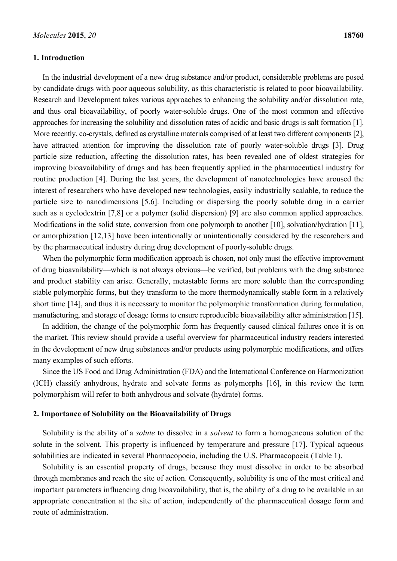#### **1. Introduction**

In the industrial development of a new drug substance and/or product, considerable problems are posed by candidate drugs with poor aqueous solubility, as this characteristic is related to poor bioavailability. Research and Development takes various approaches to enhancing the solubility and/or dissolution rate, and thus oral bioavailability, of poorly water-soluble drugs. One of the most common and effective approaches for increasing the solubility and dissolution rates of acidic and basic drugs is salt formation [1]. More recently, co-crystals, defined as crystalline materials comprised of at least two different components [2], have attracted attention for improving the dissolution rate of poorly water-soluble drugs [3]. Drug particle size reduction, affecting the dissolution rates, has been revealed one of oldest strategies for improving bioavailability of drugs and has been frequently applied in the pharmaceutical industry for routine production [4]. During the last years, the development of nanotechnologies have aroused the interest of researchers who have developed new technologies, easily industrially scalable, to reduce the particle size to nanodimensions [5,6]. Including or dispersing the poorly soluble drug in a carrier such as a cyclodextrin [7,8] or a polymer (solid dispersion) [9] are also common applied approaches. Modifications in the solid state, conversion from one polymorph to another [10], solvation/hydration [11], or amorphization [12,13] have been intentionally or unintentionally considered by the researchers and by the pharmaceutical industry during drug development of poorly-soluble drugs.

When the polymorphic form modification approach is chosen, not only must the effective improvement of drug bioavailability—which is not always obvious—be verified, but problems with the drug substance and product stability can arise. Generally, metastable forms are more soluble than the corresponding stable polymorphic forms, but they transform to the more thermodynamically stable form in a relatively short time [14], and thus it is necessary to monitor the polymorphic transformation during formulation, manufacturing, and storage of dosage forms to ensure reproducible bioavailability after administration [15].

In addition, the change of the polymorphic form has frequently caused clinical failures once it is on the market. This review should provide a useful overview for pharmaceutical industry readers interested in the development of new drug substances and/or products using polymorphic modifications, and offers many examples of such efforts.

Since the US Food and Drug Administration (FDA) and the International Conference on Harmonization (ICH) classify anhydrous, hydrate and solvate forms as polymorphs [16], in this review the term polymorphism will refer to both anhydrous and solvate (hydrate) forms.

#### **2. Importance of Solubility on the Bioavailability of Drugs**

Solubility is the ability of a *solute* to dissolve in a *solvent* to form a homogeneous solution of the solute in the solvent. This property is influenced by temperature and pressure [17]. Typical aqueous solubilities are indicated in several Pharmacopoeia, including the U.S. Pharmacopoeia (Table 1).

Solubility is an essential property of drugs, because they must dissolve in order to be absorbed through membranes and reach the site of action. Consequently, solubility is one of the most critical and important parameters influencing drug bioavailability, that is, the ability of a drug to be available in an appropriate concentration at the site of action, independently of the pharmaceutical dosage form and route of administration.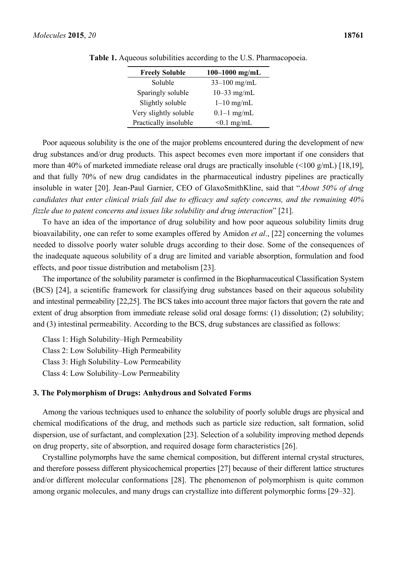| <b>Freely Soluble</b> | $100 - 1000$ mg/mL |
|-----------------------|--------------------|
| Soluble               | $33 - 100$ mg/mL   |
| Sparingly soluble     | $10-33$ mg/mL      |
| Slightly soluble      | $1-10$ mg/mL       |
| Very slightly soluble | $0.1-1$ mg/mL      |
| Practically insoluble | $< 0.1$ mg/mL      |

|  |  |  | <b>Table 1.</b> Aqueous solubilities according to the U.S. Pharmacopoeia. |
|--|--|--|---------------------------------------------------------------------------|
|  |  |  |                                                                           |

Poor aqueous solubility is the one of the major problems encountered during the development of new drug substances and/or drug products. This aspect becomes even more important if one considers that more than 40% of marketed immediate release oral drugs are practically insoluble (<100 g/mL) [18,19], and that fully 70% of new drug candidates in the pharmaceutical industry pipelines are practically insoluble in water [20]. Jean-Paul Garnier, CEO of GlaxoSmithKline, said that "*About 50% of drug candidates that enter clinical trials fail due to efficacy and safety concerns, and the remaining 40% fizzle due to patent concerns and issues like solubility and drug interaction*" [21].

To have an idea of the importance of drug solubility and how poor aqueous solubility limits drug bioavailability, one can refer to some examples offered by Amidon *et al*., [22] concerning the volumes needed to dissolve poorly water soluble drugs according to their dose. Some of the consequences of the inadequate aqueous solubility of a drug are limited and variable absorption, formulation and food effects, and poor tissue distribution and metabolism [23].

The importance of the solubility parameter is confirmed in the Biopharmaceutical Classification System (BCS) [24], a scientific framework for classifying drug substances based on their aqueous solubility and intestinal permeability [22,25]. The BCS takes into account three major factors that govern the rate and extent of drug absorption from immediate release solid oral dosage forms: (1) dissolution; (2) solubility; and (3) intestinal permeability. According to the BCS, drug substances are classified as follows:

Class 1: High Solubility–High Permeability Class 2: Low Solubility–High Permeability Class 3: High Solubility–Low Permeability Class 4: Low Solubility–Low Permeability

#### **3. The Polymorphism of Drugs: Anhydrous and Solvated Forms**

Among the various techniques used to enhance the solubility of poorly soluble drugs are physical and chemical modifications of the drug, and methods such as particle size reduction, salt formation, solid dispersion, use of surfactant, and complexation [23]. Selection of a solubility improving method depends on drug property, site of absorption, and required dosage form characteristics [26].

Crystalline polymorphs have the same chemical composition, but different internal crystal structures, and therefore possess different physicochemical properties [27] because of their different lattice structures and/or different molecular conformations [28]. The phenomenon of polymorphism is quite common among organic molecules, and many drugs can crystallize into different polymorphic forms [29–32].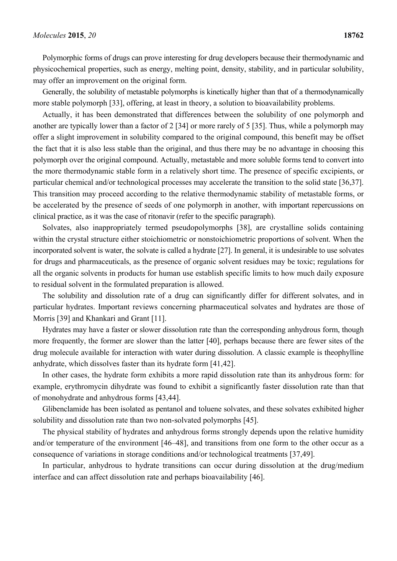Polymorphic forms of drugs can prove interesting for drug developers because their thermodynamic and physicochemical properties, such as energy, melting point, density, stability, and in particular solubility, may offer an improvement on the original form.

Generally, the solubility of metastable polymorphs is kinetically higher than that of a thermodynamically more stable polymorph [33], offering, at least in theory, a solution to bioavailability problems.

Actually, it has been demonstrated that differences between the solubility of one polymorph and another are typically lower than a factor of 2 [34] or more rarely of 5 [35]. Thus, while a polymorph may offer a slight improvement in solubility compared to the original compound, this benefit may be offset the fact that it is also less stable than the original, and thus there may be no advantage in choosing this polymorph over the original compound. Actually, metastable and more soluble forms tend to convert into the more thermodynamic stable form in a relatively short time. The presence of specific excipients, or particular chemical and/or technological processes may accelerate the transition to the solid state [36,37]. This transition may proceed according to the relative thermodynamic stability of metastable forms, or be accelerated by the presence of seeds of one polymorph in another, with important repercussions on clinical practice, as it was the case of ritonavir (refer to the specific paragraph).

Solvates, also inappropriately termed pseudopolymorphs [38], are crystalline solids containing within the crystal structure either stoichiometric or nonstoichiometric proportions of solvent. When the incorporated solvent is water, the solvate is called a hydrate [27]. In general, it is undesirable to use solvates for drugs and pharmaceuticals, as the presence of organic solvent residues may be toxic; regulations for all the organic solvents in products for human use establish specific limits to how much daily exposure to residual solvent in the formulated preparation is allowed.

The solubility and dissolution rate of a drug can significantly differ for different solvates, and in particular hydrates. Important reviews concerning pharmaceutical solvates and hydrates are those of Morris [39] and Khankari and Grant [11].

Hydrates may have a faster or slower dissolution rate than the corresponding anhydrous form, though more frequently, the former are slower than the latter [40], perhaps because there are fewer sites of the drug molecule available for interaction with water during dissolution. A classic example is theophylline anhydrate, which dissolves faster than its hydrate form [41,42].

In other cases, the hydrate form exhibits a more rapid dissolution rate than its anhydrous form: for example, erythromycin dihydrate was found to exhibit a significantly faster dissolution rate than that of monohydrate and anhydrous forms [43,44].

Glibenclamide has been isolated as pentanol and toluene solvates, and these solvates exhibited higher solubility and dissolution rate than two non-solvated polymorphs [45].

The physical stability of hydrates and anhydrous forms strongly depends upon the relative humidity and/or temperature of the environment [46–48], and transitions from one form to the other occur as a consequence of variations in storage conditions and/or technological treatments [37,49].

In particular, anhydrous to hydrate transitions can occur during dissolution at the drug/medium interface and can affect dissolution rate and perhaps bioavailability [46].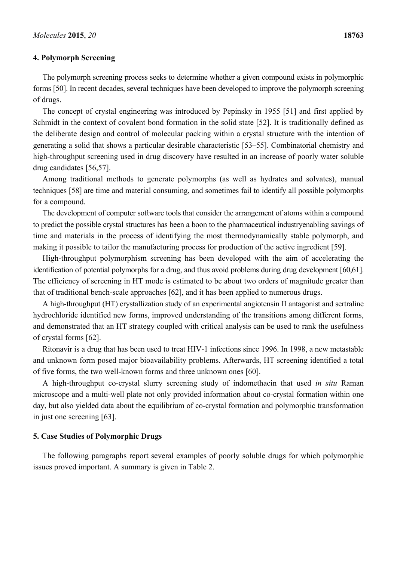#### **4. Polymorph Screening**

The polymorph screening process seeks to determine whether a given compound exists in polymorphic forms [50]. In recent decades, several techniques have been developed to improve the polymorph screening of drugs.

The concept of crystal engineering was introduced by Pepinsky in 1955 [51] and first applied by Schmidt in the context of covalent bond formation in the solid state [52]. It is traditionally defined as the deliberate design and control of molecular packing within a crystal structure with the intention of generating a solid that shows a particular desirable characteristic [53–55]. Combinatorial chemistry and high-throughput screening used in drug discovery have resulted in an increase of poorly water soluble drug candidates [56,57].

Among traditional methods to generate polymorphs (as well as hydrates and solvates), manual techniques [58] are time and material consuming, and sometimes fail to identify all possible polymorphs for a compound.

The development of computer software tools that consider the arrangement of atoms within a compound to predict the possible crystal structures has been a boon to the pharmaceutical industryenabling savings of time and materials in the process of identifying the most thermodynamically stable polymorph, and making it possible to tailor the manufacturing process for production of the active ingredient [59].

High-throughput polymorphism screening has been developed with the aim of accelerating the identification of potential polymorphs for a drug, and thus avoid problems during drug development [60,61]. The efficiency of screening in HT mode is estimated to be about two orders of magnitude greater than that of traditional bench-scale approaches [62], and it has been applied to numerous drugs.

A high-throughput (HT) crystallization study of an experimental angiotensin II antagonist and sertraline hydrochloride identified new forms, improved understanding of the transitions among different forms, and demonstrated that an HT strategy coupled with critical analysis can be used to rank the usefulness of crystal forms [62].

Ritonavir is a drug that has been used to treat HIV-1 infections since 1996. In 1998, a new metastable and unknown form posed major bioavailability problems. Afterwards, HT screening identified a total of five forms, the two well-known forms and three unknown ones [60].

A high-throughput co-crystal slurry screening study of indomethacin that used *in situ* Raman microscope and a multi-well plate not only provided information about co-crystal formation within one day, but also yielded data about the equilibrium of co-crystal formation and polymorphic transformation in just one screening [63].

#### **5. Case Studies of Polymorphic Drugs**

The following paragraphs report several examples of poorly soluble drugs for which polymorphic issues proved important. A summary is given in Table 2.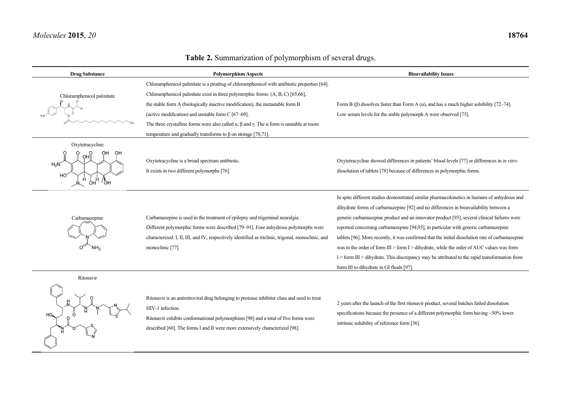Contractor

## **Table 2.** Summarization of polymorphism of several drugs.

| <b>Drug Substance</b>     | <b>Polymorphism Aspects</b>                                                                                                                                                                           | <b>Bioavailability Issues</b>                                                                                                                                                           |  |  |
|---------------------------|-------------------------------------------------------------------------------------------------------------------------------------------------------------------------------------------------------|-----------------------------------------------------------------------------------------------------------------------------------------------------------------------------------------|--|--|
|                           | Chloramphenicol palmitate is a prodrug of chloramphenicol with antibiotic properties [64].                                                                                                            |                                                                                                                                                                                         |  |  |
| Chloramphenicol palmitate | Chloramphenicol palmitate exist in three polymorphic forms: (A, B, C) [65,66],                                                                                                                        |                                                                                                                                                                                         |  |  |
|                           | the stable form A (biologically inactive modification), the metastable form B                                                                                                                         | Form B ( $\beta$ ) dissolves faster than Form A ( $\alpha$ ), and has a much higher solubility [72–74].                                                                                 |  |  |
|                           | (active modification) and unstable form C [67–69].                                                                                                                                                    | Low serum levels for the stable polymorph A were observed [75].                                                                                                                         |  |  |
|                           | The three crystalline forms were also called $\alpha$ , $\beta$ and $\gamma$ . The $\alpha$ form is unstable at room                                                                                  |                                                                                                                                                                                         |  |  |
|                           | temperature and gradually transforms to $\beta$ on storage [70,71].                                                                                                                                   |                                                                                                                                                                                         |  |  |
| Oxytetracycline           |                                                                                                                                                                                                       |                                                                                                                                                                                         |  |  |
| OН<br>OHI <sub>o</sub>    | Oxytetracycline is a broad spectrum antibiotic.                                                                                                                                                       | Oxytetracycline showed differences in patients' blood levels [77] or differences in in vitro                                                                                            |  |  |
| $H_2N$                    | It exists in two different polymorphs [76].                                                                                                                                                           | dissolution of tablets [78] because of differences in polymorphic forms.                                                                                                                |  |  |
| HO<br>Áн<br>Он<br>් OH    |                                                                                                                                                                                                       |                                                                                                                                                                                         |  |  |
|                           |                                                                                                                                                                                                       | In spite different studies demonstrated similar pharmacokinetics in humans of anhydrous and                                                                                             |  |  |
|                           |                                                                                                                                                                                                       | dihydrate forms of carbamazepine [92] and no differences in bioavailability between a                                                                                                   |  |  |
| Carbamazepine             | Carbamazepine is used in the treatment of epilepsy and trigeminal neuralgia.                                                                                                                          | generic carbamazepine product and an innovator product [93], several clinical failures were                                                                                             |  |  |
|                           | Different polymorphic forms were described [79-91]. Four anhydrous polymorphs were                                                                                                                    | reported concerning carbamazepine [94,95], in particular with generic carbamazepine                                                                                                     |  |  |
|                           | characterized: I, II, III, and IV, respectively identified as triclinic, trigonal, monoclinic, and                                                                                                    | tablets [96]. More recently, it was confirmed that the initial dissolution rate of carbamazepine                                                                                        |  |  |
|                           | monoclinic [77].                                                                                                                                                                                      | was in the order of form III > form I > dihydrate, while the order of AUC values was form                                                                                               |  |  |
|                           |                                                                                                                                                                                                       | I > form III > dihydrate. This discrepancy may be attributed to the rapid transformation from                                                                                           |  |  |
|                           |                                                                                                                                                                                                       | form III to dihydrate in GI fluids [97].                                                                                                                                                |  |  |
| Ritonavir                 |                                                                                                                                                                                                       |                                                                                                                                                                                         |  |  |
|                           | Ritonavir is an antiretroviral drug belonging to protease inhibitor class and used to treat<br>HIV-1 infection.<br>Ritonavir exhibits conformational polymorphism [98] and a total of five forms were | 2 years after the launch of the first ritonavir product, several batches failed dissolution<br>specifications because the presence of a different polymorphic form having $~50\%$ lower |  |  |

described [60]. The forms I and II were more extensively characterized [98].

intrinsic solubility of reference form [36].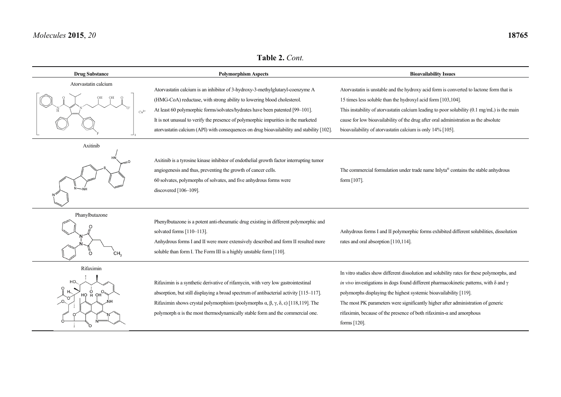**Table 2.** *Cont.* 

| <b>Drug Substance</b>                  | <b>Polymorphism Aspects</b>                                                                                                                                                                                                                                                                                                                                                                                                 | <b>Bioavailability Issues</b>                                                                                                                                                                                                                                                                                                                                                                                                                              |  |  |
|----------------------------------------|-----------------------------------------------------------------------------------------------------------------------------------------------------------------------------------------------------------------------------------------------------------------------------------------------------------------------------------------------------------------------------------------------------------------------------|------------------------------------------------------------------------------------------------------------------------------------------------------------------------------------------------------------------------------------------------------------------------------------------------------------------------------------------------------------------------------------------------------------------------------------------------------------|--|--|
| Atorvastatin calcium<br>$Ca2+$         | Atorvastatin calcium is an inhibitor of 3-hydroxy-3-methylglutaryl-coenzyme A<br>(HMG-CoA) reductase, with strong ability to lowering blood cholesterol.<br>At least 60 polymorphic forms/solvates/hydrates have been patented [99-101].<br>It is not unusual to verify the presence of polymorphic impurities in the marketed<br>atorvastatin calcium (API) with consequences on drug bioavailability and stability [102]. | Atorvastatin is unstable and the hydroxy acid form is converted to lactone form that is<br>15 times less soluble than the hydroxyl acid form [103,104].<br>This instability of atorvastatin calcium leading to poor solubility $(0.1 \text{ mg/mL})$ is the main<br>cause for low bioavailability of the drug after oral administration as the absolute<br>bioavailability of atorvastatin calcium is only 14% [105].                                      |  |  |
| Axitinib                               | Axitinib is a tyrosine kinase inhibitor of endothelial growth factor interrupting tumor<br>angiogenesis and thus, preventing the growth of cancer cells.<br>60 solvates, polymorphs of solvates, and five anhydrous forms were<br>discovered [106-109].                                                                                                                                                                     | The commercial formulation under trade name Inlyta® contains the stable anhydrous<br>form [107].                                                                                                                                                                                                                                                                                                                                                           |  |  |
| Phanylbutazone<br>ö<br>CH <sub>3</sub> | Phenylbutazone is a potent anti-rheumatic drug existing in different polymorphic and<br>solvated forms [110-113].<br>Anhydrous forms I and II were more extensively described and form II resulted more<br>soluble than form I. The Form III is a highly unstable form [110].                                                                                                                                               | Anhydrous forms I and II polymorphic forms exhibited different solubilities, dissolution<br>rates and oral absorption [110,114].                                                                                                                                                                                                                                                                                                                           |  |  |
| Rifaximin<br>HO.<br>HO H OH            | Rifaximin is a synthetic derivative of rifamycin, with very low gastrointestinal<br>absorption, but still displaying a broad spectrum of antibacterial activity [115-117].<br>Rifaximin shows crystal polymorphism (poolymorphs $\alpha$ , $\beta$ , $\gamma$ , $\delta$ , $\varepsilon$ ) [118,119]. The<br>polymorph $\alpha$ is the most thermodynamically stable form and the commercial one.                           | In vitro studies show different dissolution and solubility rates for these polymorphs, and<br>in vivo investigations in dogs found different pharmacokinetic patterns, with $\delta$ and $\gamma$<br>polymorphs displaying the highest systemic bioavailability [119].<br>The most PK parameters were significantly higher after administration of generic<br>rifaximin, because of the presence of both rifaximin- $\alpha$ and amorphous<br>forms [120]. |  |  |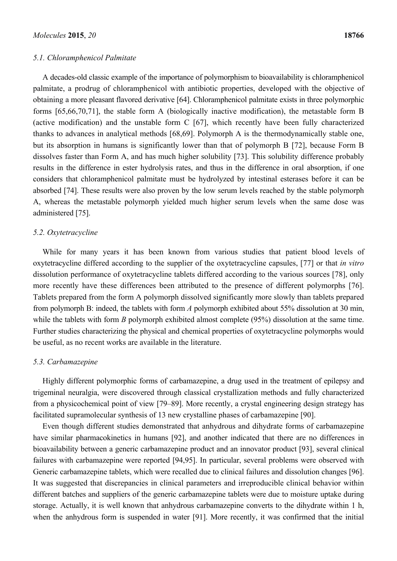#### *5.1. Chloramphenicol Palmitate*

A decades-old classic example of the importance of polymorphism to bioavailability is chloramphenicol palmitate, a prodrug of chloramphenicol with antibiotic properties, developed with the objective of obtaining a more pleasant flavored derivative [64]. Chloramphenicol palmitate exists in three polymorphic forms [65,66,70,71], the stable form A (biologically inactive modification), the metastable form B (active modification) and the unstable form C [67], which recently have been fully characterized thanks to advances in analytical methods [68,69]. Polymorph A is the thermodynamically stable one, but its absorption in humans is significantly lower than that of polymorph B [72], because Form B dissolves faster than Form A, and has much higher solubility [73]. This solubility difference probably results in the difference in ester hydrolysis rates, and thus in the difference in oral absorption, if one considers that chloramphenicol palmitate must be hydrolyzed by intestinal esterases before it can be absorbed [74]. These results were also proven by the low serum levels reached by the stable polymorph A, whereas the metastable polymorph yielded much higher serum levels when the same dose was administered [75].

#### *5.2. Oxytetracycline*

While for many years it has been known from various studies that patient blood levels of oxytetracycline differed according to the supplier of the oxytetracycline capsules, [77] or that *in vitro* dissolution performance of oxytetracycline tablets differed according to the various sources [78], only more recently have these differences been attributed to the presence of different polymorphs [76]. Tablets prepared from the form A polymorph dissolved significantly more slowly than tablets prepared from polymorph B: indeed, the tablets with form *A* polymorph exhibited about 55% dissolution at 30 min, while the tablets with form *B* polymorph exhibited almost complete (95%) dissolution at the same time. Further studies characterizing the physical and chemical properties of oxytetracycline polymorphs would be useful, as no recent works are available in the literature.

## *5.3. Carbamazepine*

Highly different polymorphic forms of carbamazepine, a drug used in the treatment of epilepsy and trigeminal neuralgia, were discovered through classical crystallization methods and fully characterized from a physicochemical point of view [79–89]. More recently, a crystal engineering design strategy has facilitated supramolecular synthesis of 13 new crystalline phases of carbamazepine [90].

Even though different studies demonstrated that anhydrous and dihydrate forms of carbamazepine have similar pharmacokinetics in humans [92], and another indicated that there are no differences in bioavailability between a generic carbamazepine product and an innovator product [93], several clinical failures with carbamazepine were reported [94,95]. In particular, several problems were observed with Generic carbamazepine tablets, which were recalled due to clinical failures and dissolution changes [96]. It was suggested that discrepancies in clinical parameters and irreproducible clinical behavior within different batches and suppliers of the generic carbamazepine tablets were due to moisture uptake during storage. Actually, it is well known that anhydrous carbamazepine converts to the dihydrate within 1 h, when the anhydrous form is suspended in water [91]. More recently, it was confirmed that the initial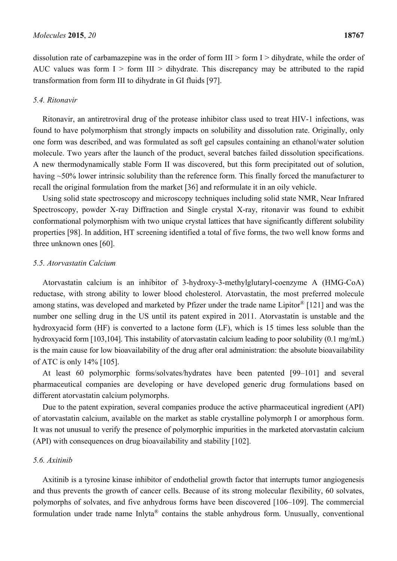dissolution rate of carbamazepine was in the order of form  $III >$  form  $I >$  dihydrate, while the order of AUC values was form  $I >$  form III  $>$  dihydrate. This discrepancy may be attributed to the rapid transformation from form III to dihydrate in GI fluids [97].

## *5.4. Ritonavir*

Ritonavir, an antiretroviral drug of the protease inhibitor class used to treat HIV-1 infections, was found to have polymorphism that strongly impacts on solubility and dissolution rate. Originally, only one form was described, and was formulated as soft gel capsules containing an ethanol/water solution molecule. Two years after the launch of the product, several batches failed dissolution specifications. A new thermodynamically stable Form II was discovered, but this form precipitated out of solution, having ~50% lower intrinsic solubility than the reference form. This finally forced the manufacturer to recall the original formulation from the market [36] and reformulate it in an oily vehicle.

Using solid state spectroscopy and microscopy techniques including solid state NMR, Near Infrared Spectroscopy, powder X-ray Diffraction and Single crystal X-ray, ritonavir was found to exhibit conformational polymorphism with two unique crystal lattices that have significantly different solubility properties [98]. In addition, HT screening identified a total of five forms, the two well know forms and three unknown ones [60].

#### *5.5. Atorvastatin Calcium*

Atorvastatin calcium is an inhibitor of 3-hydroxy-3-methylglutaryl-coenzyme A (HMG-CoA) reductase, with strong ability to lower blood cholesterol. Atorvastatin, the most preferred molecule among statins, was developed and marketed by Pfizer under the trade name Lipitor® [121] and was the number one selling drug in the US until its patent expired in 2011. Atorvastatin is unstable and the hydroxyacid form (HF) is converted to a lactone form (LF), which is 15 times less soluble than the hydroxyacid form [103,104]. This instability of atoryastatin calcium leading to poor solubility (0.1 mg/mL) is the main cause for low bioavailability of the drug after oral administration: the absolute bioavailability of ATC is only 14% [105].

At least 60 polymorphic forms/solvates/hydrates have been patented [99–101] and several pharmaceutical companies are developing or have developed generic drug formulations based on different atorvastatin calcium polymorphs.

Due to the patent expiration, several companies produce the active pharmaceutical ingredient (API) of atorvastatin calcium, available on the market as stable crystalline polymorph I or amorphous form. It was not unusual to verify the presence of polymorphic impurities in the marketed atorvastatin calcium (API) with consequences on drug bioavailability and stability [102].

#### *5.6. Axitinib*

Axitinib is a tyrosine kinase inhibitor of endothelial growth factor that interrupts tumor angiogenesis and thus prevents the growth of cancer cells. Because of its strong molecular flexibility, 60 solvates, polymorphs of solvates, and five anhydrous forms have been discovered [106–109]. The commercial formulation under trade name Inlyta® contains the stable anhydrous form. Unusually, conventional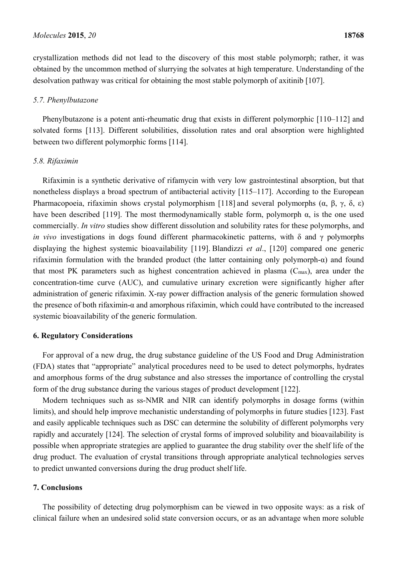crystallization methods did not lead to the discovery of this most stable polymorph; rather, it was obtained by the uncommon method of slurrying the solvates at high temperature. Understanding of the desolvation pathway was critical for obtaining the most stable polymorph of axitinib [107].

## *5.7. Phenylbutazone*

Phenylbutazone is a potent anti-rheumatic drug that exists in different polymorphic [110–112] and solvated forms [113]. Different solubilities, dissolution rates and oral absorption were highlighted between two different polymorphic forms [114].

#### *5.8. Rifaximin*

Rifaximin is a synthetic derivative of rifamycin with very low gastrointestinal absorption, but that nonetheless displays a broad spectrum of antibacterial activity [115–117]. According to the European Pharmacopoeia, rifaximin shows crystal polymorphism [118] and several polymorphs (α, β, γ, δ, ε) have been described [119]. The most thermodynamically stable form, polymorph  $\alpha$ , is the one used commercially. *In vitro* studies show different dissolution and solubility rates for these polymorphs, and *in vivo* investigations in dogs found different pharmacokinetic patterns, with δ and γ polymorphs displaying the highest systemic bioavailability [119]. Blandizzi *et al*., [120] compared one generic rifaximin formulation with the branded product (the latter containing only polymorph-α) and found that most PK parameters such as highest concentration achieved in plasma (Cmax), area under the concentration-time curve (AUC), and cumulative urinary excretion were significantly higher after administration of generic rifaximin. X-ray power diffraction analysis of the generic formulation showed the presence of both rifaximin-α and amorphous rifaximin, which could have contributed to the increased systemic bioavailability of the generic formulation.

#### **6. Regulatory Considerations**

For approval of a new drug, the drug substance guideline of the US Food and Drug Administration (FDA) states that "appropriate" analytical procedures need to be used to detect polymorphs, hydrates and amorphous forms of the drug substance and also stresses the importance of controlling the crystal form of the drug substance during the various stages of product development [122].

Modern techniques such as ss-NMR and NIR can identify polymorphs in dosage forms (within limits), and should help improve mechanistic understanding of polymorphs in future studies [123]. Fast and easily applicable techniques such as DSC can determine the solubility of different polymorphs very rapidly and accurately [124]. The selection of crystal forms of improved solubility and bioavailability is possible when appropriate strategies are applied to guarantee the drug stability over the shelf life of the drug product. The evaluation of crystal transitions through appropriate analytical technologies serves to predict unwanted conversions during the drug product shelf life.

## **7. Conclusions**

The possibility of detecting drug polymorphism can be viewed in two opposite ways: as a risk of clinical failure when an undesired solid state conversion occurs, or as an advantage when more soluble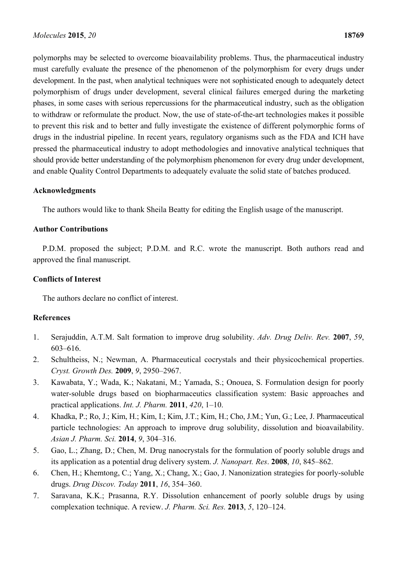polymorphs may be selected to overcome bioavailability problems. Thus, the pharmaceutical industry must carefully evaluate the presence of the phenomenon of the polymorphism for every drugs under development. In the past, when analytical techniques were not sophisticated enough to adequately detect polymorphism of drugs under development, several clinical failures emerged during the marketing phases, in some cases with serious repercussions for the pharmaceutical industry, such as the obligation to withdraw or reformulate the product. Now, the use of state-of-the-art technologies makes it possible to prevent this risk and to better and fully investigate the existence of different polymorphic forms of drugs in the industrial pipeline. In recent years, regulatory organisms such as the FDA and ICH have pressed the pharmaceutical industry to adopt methodologies and innovative analytical techniques that should provide better understanding of the polymorphism phenomenon for every drug under development, and enable Quality Control Departments to adequately evaluate the solid state of batches produced.

## **Acknowledgments**

The authors would like to thank Sheila Beatty for editing the English usage of the manuscript.

## **Author Contributions**

P.D.M. proposed the subject; P.D.M. and R.C. wrote the manuscript. Both authors read and approved the final manuscript.

## **Conflicts of Interest**

The authors declare no conflict of interest.

## **References**

- 1. Serajuddin, A.T.M. Salt formation to improve drug solubility. *Adv. Drug Deliv. Rev.* **2007**, *59*, 603–616.
- 2. Schultheiss, N.; Newman, A. Pharmaceutical cocrystals and their physicochemical properties. *Cryst. Growth Des.* **2009**, *9*, 2950–2967.
- 3. Kawabata, Y.; Wada, K.; Nakatani, M.; Yamada, S.; Onouea, S. Formulation design for poorly water-soluble drugs based on biopharmaceutics classification system: Basic approaches and practical applications. *Int. J. Pharm.* **2011**, *420*, 1–10.
- 4. Khadka, P.; Ro, J.; Kim, H.; Kim, I.; Kim, J.T.; Kim, H.; Cho, J.M.; Yun, G.; Lee, J. Pharmaceutical particle technologies: An approach to improve drug solubility, dissolution and bioavailability. *Asian J. Pharm. Sci.* **2014**, *9*, 304–316.
- 5. Gao, L.; Zhang, D.; Chen, M. Drug nanocrystals for the formulation of poorly soluble drugs and its application as a potential drug delivery system. *J. Nanopart. Res*. **2008**, *10*, 845–862.
- 6. Chen, H.; Khemtong, C.; Yang, X.; Chang, X.; Gao, J. Nanonization strategies for poorly-soluble drugs. *Drug Discov. Today* **2011**, *16*, 354–360.
- 7. Saravana, K.K.; Prasanna, R.Y. Dissolution enhancement of poorly soluble drugs by using complexation technique. A review. *J. Pharm. Sci. Res.* **2013**, *5*, 120–124.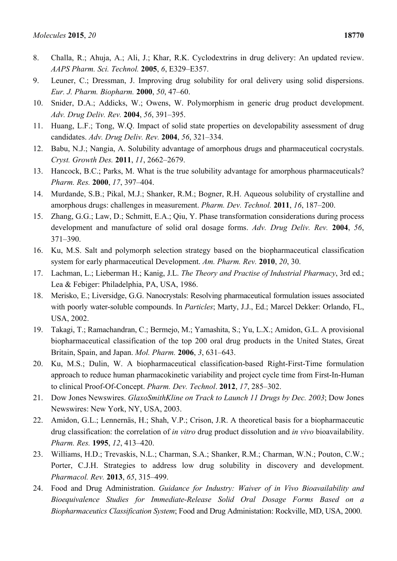- 8. Challa, R.; Ahuja, A.; Ali, J.; Khar, R.K. Cyclodextrins in drug delivery: An updated review. *AAPS Pharm. Sci. Technol.* **2005**, *6*, E329–E357.
- 9. Leuner, C.; Dressman, J. Improving drug solubility for oral delivery using solid dispersions. *Eur. J. Pharm. Biopharm.* **2000**, *50*, 47–60.
- 10. Snider, D.A.; Addicks, W.; Owens, W. Polymorphism in generic drug product development. *Adv. Drug Deliv. Rev.* **2004**, *56*, 391–395.
- 11. Huang, L.F.; Tong, W.Q. Impact of solid state properties on developability assessment of drug candidates. *Adv. Drug Deliv. Rev.* **2004**, *56*, 321–334.
- 12. Babu, N.J.; Nangia, A. Solubility advantage of amorphous drugs and pharmaceutical cocrystals. *Cryst. Growth Des.* **2011**, *11*, 2662–2679.
- 13. Hancock, B.C.; Parks, M. What is the true solubility advantage for amorphous pharmaceuticals? *Pharm. Res.* **2000**, *17*, 397–404.
- 14. Murdande, S.B.; Pikal, M.J.; Shanker, R.M.; Bogner, R.H. Aqueous solubility of crystalline and amorphous drugs: challenges in measurement. *Pharm. Dev. Technol.* **2011**, *16*, 187–200.
- 15. Zhang, G.G.; Law, D.; Schmitt, E.A.; Qiu, Y. Phase transformation considerations during process development and manufacture of solid oral dosage forms. *Adv. Drug Deliv. Rev.* **2004**, *56*, 371–390.
- 16. Ku, M.S. Salt and polymorph selection strategy based on the biopharmaceutical classification system for early pharmaceutical Development. *Am. Pharm. Rev.* **2010**, *20*, 30.
- 17. Lachman, L.; Lieberman H.; Kanig, J.L. *The Theory and Practise of Industrial Pharmacy*, 3rd ed.; Lea & Febiger: Philadelphia, PA, USA, 1986.
- 18. Merisko, E.; Liversidge, G.G. Nanocrystals: Resolving pharmaceutical formulation issues associated with poorly water-soluble compounds. In *Particles*; Marty, J.J., Ed.; Marcel Dekker: Orlando, FL, USA, 2002.
- 19. Takagi, T.; Ramachandran, C.; Bermejo, M.; Yamashita, S.; Yu, L.X.; Amidon, G.L. A provisional biopharmaceutical classification of the top 200 oral drug products in the United States, Great Britain, Spain, and Japan. *Mol. Pharm.* **2006**, *3*, 631–643.
- 20. Ku, M.S.; Dulin, W. A biopharmaceutical classification-based Right-First-Time formulation approach to reduce human pharmacokinetic variability and project cycle time from First-In-Human to clinical Proof-Of-Concept. *Pharm. Dev. Technol*. **2012**, *17*, 285–302.
- 21. Dow Jones Newswires. *GlaxoSmithKline on Track to Launch 11 Drugs by Dec. 2003*; Dow Jones Newswires: New York, NY, USA, 2003.
- 22. Amidon, G.L.; Lennernäs, H.; Shah, V.P.; Crison, J.R. A theoretical basis for a biopharmaceutic drug classification: the correlation of *in vitro* drug product dissolution and *in vivo* bioavailability. *Pharm. Res.* **1995**, *12*, 413–420.
- 23. Williams, H.D.; Trevaskis, N.L.; Charman, S.A.; Shanker, R.M.; Charman, W.N.; Pouton, C.W.; Porter, C.J.H. Strategies to address low drug solubility in discovery and development. *Pharmacol. Rev.* **2013**, *65*, 315–499.
- 24. Food and Drug Administration. *Guidance for Industry: Waiver of in Vivo Bioavailability and Bioequivalence Studies for Immediate-Release Solid Oral Dosage Forms Based on a Biopharmaceutics Classification System*; Food and Drug Administation: Rockville, MD, USA, 2000.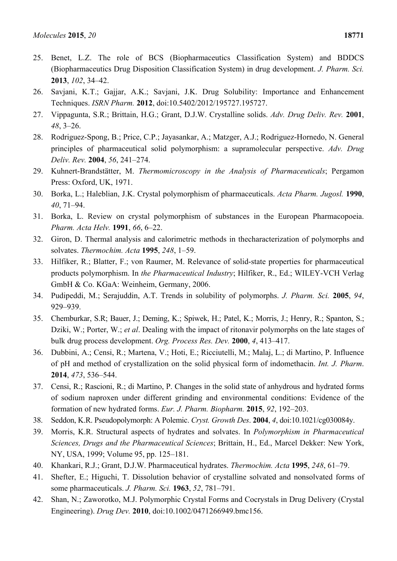- 25. Benet, L.Z. The role of BCS (Biopharmaceutics Classification System) and BDDCS (Biopharmaceutics Drug Disposition Classification System) in drug development. *J. Pharm. Sci.* **2013**, *102*, 34–42.
- 26. Savjani, K.T.; Gajjar, A.K.; Savjani, J.K. Drug Solubility: Importance and Enhancement Techniques. *ISRN Pharm.* **2012**, doi:10.5402/2012/195727.195727.
- 27. Vippagunta, S.R.; Brittain, H.G.; Grant, D.J.W. Crystalline solids. *Adv. Drug Deliv. Rev.* **2001**, *48*, 3–26.
- 28. Rodriguez-Spong, B.; Price, C.P.; Jayasankar, A.; Matzger, A.J.; Rodriguez-Hornedo, N. General principles of pharmaceutical solid polymorphism: a supramolecular perspective. *Adv. Drug Deliv. Rev.* **2004**, *56*, 241–274.
- 29. Kuhnert-Brandstätter, M. *Thermomicroscopy in the Analysis of Pharmaceuticals*; Pergamon Press: Oxford, UK, 1971.
- 30. Borka, L.; Haleblian, J.K. Crystal polymorphism of pharmaceuticals. *Acta Pharm. Jugosl.* **1990**, *40*, 71–94.
- 31. Borka, L. Review on crystal polymorphism of substances in the European Pharmacopoeia. *Pharm. Acta Helv.* **1991**, *66*, 6–22.
- 32. Giron, D. Thermal analysis and calorimetric methods in thecharacterization of polymorphs and solvates. *Thermochim. Acta* **1995**, *248*, 1–59.
- 33. Hilfiker, R.; Blatter, F.; von Raumer, M. Relevance of solid-state properties for pharmaceutical products polymorphism. In *the Pharmaceutical Industry*; Hilfiker, R., Ed.; WILEY-VCH Verlag GmbH & Co. KGaA: Weinheim, Germany, 2006.
- 34. Pudipeddi, M.; Serajuddin, A.T. Trends in solubility of polymorphs. *J. Pharm. Sci.* **2005**, *94*, 929–939.
- 35. Chemburkar, S.R; Bauer, J.; Deming, K.; Spiwek, H.; Patel, K.; Morris, J.; Henry, R.; Spanton, S.; Dziki, W.; Porter, W.; *et al*. Dealing with the impact of ritonavir polymorphs on the late stages of bulk drug process development. *Org. Process Res. Dev.* **2000**, *4*, 413–417.
- 36. Dubbini, A.; Censi, R.; Martena, V.; Hoti, E.; Ricciutelli, M.; Malaj, L.; di Martino, P. Influence of pH and method of crystallization on the solid physical form of indomethacin. *Int. J. Pharm*. **2014**, *473*, 536–544.
- 37. Censi, R.; Rascioni, R.; di Martino, P. Changes in the solid state of anhydrous and hydrated forms of sodium naproxen under different grinding and environmental conditions: Evidence of the formation of new hydrated forms. *Eur. J. Pharm. Biopharm.* **2015**, *92*, 192–203.
- 38. Seddon, K.R. Pseudopolymorph: A Polemic. *Cryst. Growth Des*. **2004**, *4*, doi:10.1021/cg030084y.
- 39. Morris, K.R. Structural aspects of hydrates and solvates. In *Polymorphism in Pharmaceutical Sciences, Drugs and the Pharmaceutical Sciences*; Brittain, H., Ed., Marcel Dekker: New York, NY, USA, 1999; Volume 95, pp. 125–181.
- 40. Khankari, R.J.; Grant, D.J.W. Pharmaceutical hydrates. *Thermochim. Acta* **1995**, *248*, 61–79.
- 41. Shefter, E.; Higuchi, T. Dissolution behavior of crystalline solvated and nonsolvated forms of some pharmaceuticals. *J. Pharm. Sci.* **1963**, *52*, 781–791.
- 42. Shan, N.; Zaworotko, M.J. Polymorphic Crystal Forms and Cocrystals in Drug Delivery (Crystal Engineering). *Drug Dev.* **2010**, doi:10.1002/0471266949.bmc156.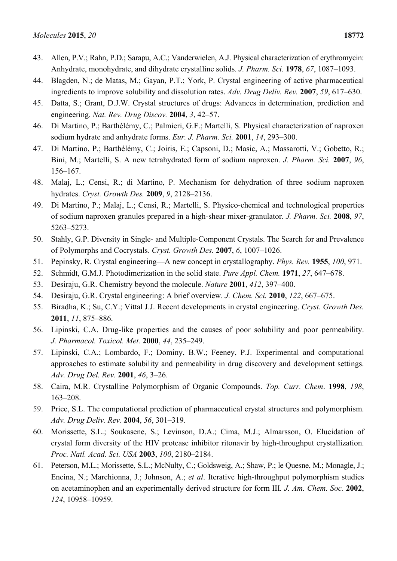- 43. Allen, P.V.; Rahn, P.D.; Sarapu, A.C.; Vanderwielen, A.J. Physical characterization of erythromycin: Anhydrate, monohydrate, and dihydrate crystalline solids. *J. Pharm. Sci.* **1978**, *67*, 1087–1093.
- 44. Blagden, N.; de Matas, M.; Gayan, P.T.; York, P. Crystal engineering of active pharmaceutical ingredients to improve solubility and dissolution rates. *Adv. Drug Deliv. Rev.* **2007**, *59*, 617–630.
- 45. Datta, S.; Grant, D.J.W. Crystal structures of drugs: Advances in determination, prediction and engineering. *Nat. Rev. Drug Discov.* **2004**, *3*, 42–57.
- 46. Di Martino, P.; Barthélémy, C.; Palmieri, G.F.; Martelli, S. Physical characterization of naproxen sodium hydrate and anhydrate forms. *Eur. J. Pharm. Sci.* **2001**, *14*, 293–300.
- 47. Di Martino, P.; Barthélémy, C.; Joiris, E.; Capsoni, D.; Masic, A.; Massarotti, V.; Gobetto, R.; Bini, M.; Martelli, S. A new tetrahydrated form of sodium naproxen. *J. Pharm. Sci.* **2007**, *96*, 156–167.
- 48. Malaj, L.; Censi, R.; di Martino, P. Mechanism for dehydration of three sodium naproxen hydrates. *Cryst. Growth Des.* **2009**, *9*, 2128–2136.
- 49. Di Martino, P.; Malaj, L.; Censi, R.; Martelli, S. Physico-chemical and technological properties of sodium naproxen granules prepared in a high-shear mixer-granulator. *J. Pharm. Sci.* **2008**, *97*, 5263–5273.
- 50. Stahly, G.P. Diversity in Single- and Multiple-Component Crystals. The Search for and Prevalence of Polymorphs and Cocrystals. *Cryst. Growth Des.* **2007**, *6*, 1007–1026.
- 51. Pepinsky, R. Crystal engineering—A new concept in crystallography. *Phys. Rev.* **1955**, *100*, 971.
- 52. Schmidt, G.M.J. Photodimerization in the solid state. *Pure Appl. Chem.* **1971**, *27*, 647–678.
- 53. Desiraju, G.R. Chemistry beyond the molecule. *Nature* **2001**, *412*, 397–400.
- 54. Desiraju, G.R. Crystal engineering: A brief overview. *J. Chem. Sci.* **2010**, *122*, 667–675.
- 55. Biradha, K.; Su, C.Y.; Vittal J.J. Recent developments in crystal engineering. *Cryst. Growth Des.* **2011**, *11*, 875–886.
- 56. Lipinski, C.A. Drug-like properties and the causes of poor solubility and poor permeability. *J. Pharmacol. Toxicol. Met.* **2000**, *44*, 235–249.
- 57. Lipinski, C.A.; Lombardo, F.; Dominy, B.W.; Feeney, P.J. Experimental and computational approaches to estimate solubility and permeability in drug discovery and development settings. *Adv. Drug Del. Rev.* **2001**, *46*, 3–26.
- 58. Caira, M.R. Crystalline Polymorphism of Organic Compounds. *Top. Curr. Chem*. **1998**, *198*, 163–208.
- 59. Price, S.L. The computational prediction of pharmaceutical crystal structures and polymorphism. *Adv. Drug Deliv. Rev.* **2004**, *56*, 301–319.
- 60. Morissette, S.L.; Soukasene, S.; Levinson, D.A.; Cima, M.J.; Almarsson, O. Elucidation of crystal form diversity of the HIV protease inhibitor ritonavir by high-throughput crystallization. *Proc. Natl. Acad. Sci. USA* **2003**, *100*, 2180–2184.
- 61. Peterson, M.L.; Morissette, S.L.; McNulty, C.; Goldsweig, A.; Shaw, P.; le Quesne, M.; Monagle, J.; Encina, N.; Marchionna, J.; Johnson, A.; *et al*. Iterative high-throughput polymorphism studies on acetaminophen and an experimentally derived structure for form III*. J. Am. Chem. Soc.* **2002**, *124*, 10958–10959.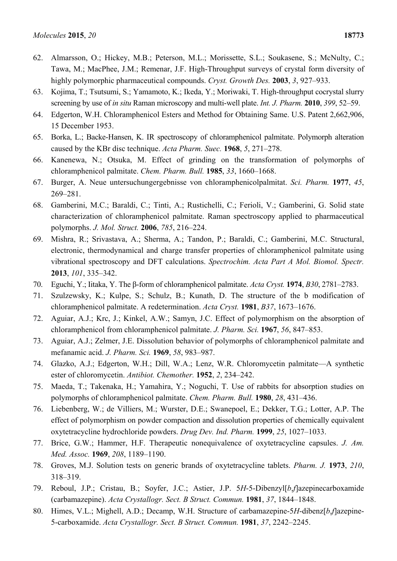- 62. Almarsson, O.; Hickey, M.B.; Peterson, M.L.; Morissette, S.L.; Soukasene, S.; McNulty, C.; Tawa, M.; MacPhee, J.M.; Remenar, J.F. High-Throughput surveys of crystal form diversity of highly polymorphic pharmaceutical compounds. *Cryst. Growth Des.* **2003**, *3*, 927–933.
- 63. Kojima, T.; Tsutsumi, S.; Yamamoto, K.; Ikeda, Y.; Moriwaki, T. High-throughput cocrystal slurry screening by use of *in situ* Raman microscopy and multi-well plate. *Int. J. Pharm.* **2010**, *399*, 52–59.
- 64. Edgerton, W.H. Chloramphenicol Esters and Method for Obtaining Same. U.S. Patent 2,662,906, 15 December 1953.
- 65. Borka, L.; Backe-Hansen, K. IR spectroscopy of chloramphenicol palmitate. Polymorph alteration caused by the KBr disc technique. *Acta Pharm. Suec.* **1968**, *5*, 271–278.
- 66. Kanenewa, N.; Otsuka, M. Effect of grinding on the transformation of polymorphs of chloramphenicol palmitate. *Chem. Pharm. Bull.* **1985**, *33*, 1660–1668.
- 67. Burger, A. Neue untersuchungergebnisse von chloramphenicolpalmitat. *Sci. Pharm.* **1977**, *45*, 269–281.
- 68. Gamberini, M.C.; Baraldi, C.; Tinti, A.; Rustichelli, C.; Ferioli, V.; Gamberini, G. Solid state characterization of chloramphenicol palmitate. Raman spectroscopy applied to pharmaceutical polymorphs. *J. Mol. Struct.* **2006**, *785*, 216–224.
- 69. Mishra, R.; Srivastava, A.; Sherma, A.; Tandon, P.; Baraldi, C.; Gamberini, M.C. Structural, electronic, thermodynamical and charge transfer properties of chloramphenicol palmitate using vibrational spectroscopy and DFT calculations. *Spectrochim. Acta Part A Mol. Biomol. Spectr.* **2013**, *101*, 335–342.
- 70. Eguchi, Y.; Iitaka, Y. The β-form of chloramphenicol palmitate. *Acta Cryst.* **1974**, *B30*, 2781–2783.
- 71. Szulzewsky, K.; Kulpe, S.; Schulz, B.; Kunath, D. The structure of the b modification of chloramphenicol palmitate. A redetermination. *Acta Cryst.* **1981**, *B37*, 1673–1676.
- 72. Aguiar, A.J.; Krc, J.; Kinkel, A.W.; Samyn, J.C. Effect of polymorphism on the absorption of chloramphenicol from chloramphenicol palmitate. *J. Pharm. Sci.* **1967**, *56*, 847–853.
- 73. Aguiar, A.J.; Zelmer, J.E. Dissolution behavior of polymorphs of chloramphenicol palmitate and mefanamic acid. *J. Pharm. Sci.* **1969**, *58*, 983–987.
- 74. Glazko, A.J.; Edgerton, W.H.; Dill, W.A.; Lenz, W.R. Chloromycetin palmitate—A synthetic ester of chloromycetin. *Antibiot. Chemother.* **1952**, *2*, 234–242.
- 75. Maeda, T.; Takenaka, H.; Yamahira, Y.; Noguchi, T. Use of rabbits for absorption studies on polymorphs of chloramphenicol palmitate. *Chem. Pharm. Bull.* **1980**, *28*, 431–436.
- 76. Liebenberg, W.; de Villiers, M.; Wurster, D.E.; Swanepoel, E.; Dekker, T.G.; Lotter, A.P. The effect of polymorphism on powder compaction and dissolution properties of chemically equivalent oxytetracycline hydrochloride powders. *Drug Dev. Ind. Pharm.* **1999**, *25*, 1027–1033.
- 77. Brice, G.W.; Hammer, H.F. Therapeutic nonequivalence of oxytetracycline capsules. *J. Am. Med. Assoc.* **1969**, *208*, 1189–1190.
- 78. Groves, M.J. Solution tests on generic brands of oxytetracycline tablets. *Pharm. J.* **1973**, *210*, 318–319.
- 79. Reboul, J.P.; Cristau, B.; Soyfer, J.C.; Astier, J.P. 5*H*-5-Dibenzyl[*b*,*f*]azepinecarboxamide (carbamazepine). *Acta Crystallogr. Sect. B Struct. Commun.* **1981**, *37*, 1844–1848.
- 80. Himes, V.L.; Mighell, A.D.; Decamp, W.H. Structure of carbamazepine-5*H*-dibenz[*b*,*f*]azepine-5-carboxamide. *Acta Crystallogr. Sect. B Struct. Commun.* **1981**, *37*, 2242–2245.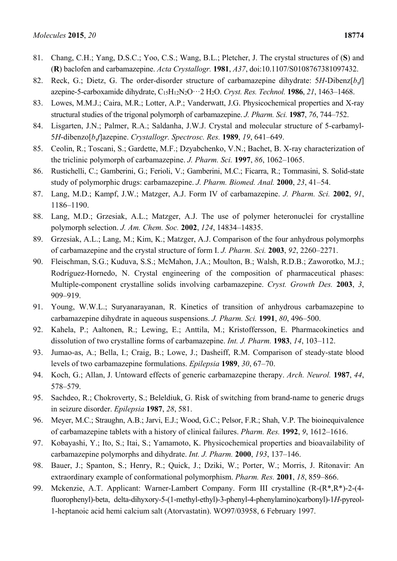- 81. Chang, C.H.; Yang, D.S.C.; Yoo, C.S.; Wang, B.L.; Pletcher, J. The crystal structures of (**S**) and (**R**) baclofen and carbamazepine. *Acta Crystallogr.* **1981**, *A37*, doi:10.1107/S0108767381097432.
- 82. Reck, G.; Dietz, G. The order-disorder structure of carbamazepine dihydrate: 5*H*-Dibenz[*b*,*f*] azepine-5-carboxamide dihydrate, C15H12N2O···2 H2O. *Cryst. Res. Technol.* **1986**, *21*, 1463–1468.
- 83. Lowes, M.M.J.; Caira, M.R.; Lotter, A.P.; Vanderwatt, J.G. Physicochemical properties and X-ray structural studies of the trigonal polymorph of carbamazepine. *J. Pharm. Sci.* **1987**, *76*, 744–752.
- 84. Lisgarten, J.N.; Palmer, R.A.; Saldanha, J.W.J. Crystal and molecular structure of 5-carbamyl-5*H*-dibenzo[*b*,*f*]azepine. *Crystallogr. Spectrosc. Res.* **1989**, *19*, 641–649.
- 85. Ceolin, R.; Toscani, S.; Gardette, M.F.; Dzyabchenko, V.N.; Bachet, B. X-ray characterization of the triclinic polymorph of carbamazepine. *J. Pharm. Sci.* **1997**, *86*, 1062–1065.
- 86. Rustichelli, C.; Gamberini, G.; Ferioli, V.; Gamberini, M.C.; Ficarra, R.; Tommasini, S. Solid-state study of polymorphic drugs: carbamazepine. *J. Pharm. Biomed. Anal.* **2000**, *23*, 41–54.
- 87. Lang, M.D.; Kampf, J.W.; Matzger, A.J. Form IV of carbamazepine. *J. Pharm. Sci.* **2002**, *91*, 1186–1190.
- 88. Lang, M.D.; Grzesiak, A.L.; Matzger, A.J. The use of polymer heteronuclei for crystalline polymorph selection. *J. Am. Chem. Soc.* **2002**, *124*, 14834–14835.
- 89. Grzesiak, A.L.; Lang, M.; Kim, K.; Matzger, A.J. Comparison of the four anhydrous polymorphs of carbamazepine and the crystal structure of form I. *J. Pharm. Sci.* **2003**, *92*, 2260–2271.
- 90. Fleischman, S.G.; Kuduva, S.S.; McMahon, J.A.; Moulton, B.; Walsh, R.D.B.; Zaworotko, M.J.; Rodríguez-Hornedo, N. Crystal engineering of the composition of pharmaceutical phases: Multiple-component crystalline solids involving carbamazepine. *Cryst. Growth Des.* **2003**, *3*, 909–919.
- 91. Young, W.W.L.; Suryanarayanan, R. Kinetics of transition of anhydrous carbamazepine to carbamazepine dihydrate in aqueous suspensions. *J. Pharm. Sci.* **1991**, *80*, 496–500.
- 92. Kahela, P.; Aaltonen, R.; Lewing, E.; Anttila, M.; Kristoffersson, E. Pharmacokinetics and dissolution of two crystalline forms of carbamazepine. *Int. J. Pharm.* **1983**, *14*, 103–112.
- 93. Jumao-as, A.; Bella, I.; Craig, B.; Lowe, J.; Dasheiff, R.M. Comparison of steady-state blood levels of two carbamazepine formulations. *Epilepsia* **1989**, *30*, 67–70.
- 94. Koch, G.; Allan, J. Untoward effects of generic carbamazepine therapy. *Arch. Neurol.* **1987**, *44*, 578–579.
- 95. Sachdeo, R.; Chokroverty, S.; Beleldiuk, G. Risk of switching from brand-name to generic drugs in seizure disorder. *Epilepsia* **1987**, *28*, 581.
- 96. Meyer, M.C.; Straughn, A.B.; Jarvi, E.J.; Wood, G.C.; Pelsor, F.R.; Shah, V.P. The bioinequivalence of carbamazepine tablets with a history of clinical failures. *Pharm. Res.* **1992**, *9*, 1612–1616.
- 97. Kobayashi, Y.; Ito, S.; Itai, S.; Yamamoto, K. Physicochemical properties and bioavailability of carbamazepine polymorphs and dihydrate. *Int. J. Pharm.* **2000**, *193*, 137–146.
- 98. Bauer, J.; Spanton, S.; Henry, R.; Quick, J.; Dziki, W.; Porter, W.; Morris, J. Ritonavir: An extraordinary example of conformational polymorphism. *Pharm. Res.* **2001**, *18*, 859–866.
- 99. Mckenzie, A.T. Applicant: Warner-Lambert Company. Form III crystalline (R-(R\*,R\*)-2-(4 fluorophenyl)-beta, delta-dihyxory-5-(1-methyl-ethyl)-3-phenyl-4-phenylamino)carbonyl)-1*H*-pyreol-1-heptanoic acid hemi calcium salt (Atorvastatin). WO97/03958, 6 February 1997.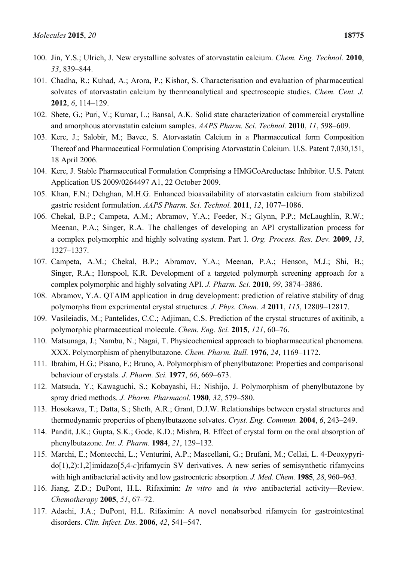- 100. Jin, Y.S.; Ulrich, J. New crystalline solvates of atorvastatin calcium. *Chem. Eng. Technol.* **2010**, *33*, 839–844.
- 101. Chadha, R.; Kuhad, A.; Arora, P.; Kishor, S. Characterisation and evaluation of pharmaceutical solvates of atorvastatin calcium by thermoanalytical and spectroscopic studies. *Chem. Cent. J.* **2012**, *6*, 114–129.
- 102. Shete, G.; Puri, V.; Kumar, L.; Bansal, A.K. Solid state characterization of commercial crystalline and amorphous atorvastatin calcium samples. *AAPS Pharm. Sci. Technol.* **2010**, *11*, 598–609.
- 103. Kerc, J.; Salobir, M.; Bavec, S. Atorvastatin Calcium in a Pharmaceutical form Composition Thereof and Pharmaceutical Formulation Comprising Atorvastatin Calcium. U.S. Patent 7,030,151, 18 April 2006.
- 104. Kerc, J. Stable Pharmaceutical Formulation Comprising a HMGCoAreductase Inhibitor. U.S. Patent Application US 2009/0264497 A1, 22 October 2009.
- 105. Khan, F.N.; Dehghan, M.H.G. Enhanced bioavailability of atorvastatin calcium from stabilized gastric resident formulation. *AAPS Pharm. Sci. Technol.* **2011**, *12*, 1077–1086.
- 106. Chekal, B.P.; Campeta, A.M.; Abramov, Y.A.; Feeder, N.; Glynn, P.P.; McLaughlin, R.W.; Meenan, P.A.; Singer, R.A. The challenges of developing an API crystallization process for a complex polymorphic and highly solvating system. Part I. *Org. Process. Res. Dev.* **2009**, *13*, 1327–1337.
- 107. Campeta, A.M.; Chekal, B.P.; Abramov, Y.A.; Meenan, P.A.; Henson, M.J.; Shi, B.; Singer, R.A.; Horspool, K.R. Development of a targeted polymorph screening approach for a complex polymorphic and highly solvating API. *J. Pharm. Sci.* **2010**, *99*, 3874–3886.
- 108. Abramov, Y.A. QTAIM application in drug development: prediction of relative stability of drug polymorphs from experimental crystal structures. *J. Phys. Chem. A* **2011**, *115*, 12809–12817.
- 109. Vasileiadis, M.; Pantelides, C.C.; Adjiman, C.S. Prediction of the crystal structures of axitinib, a polymorphic pharmaceutical molecule. *Chem. Eng. Sci.* **2015**, *121*, 60–76.
- 110. Matsunaga, J.; Nambu, N.; Nagai, T. Physicochemical approach to biopharmaceutical phenomena. XXX. Polymorphism of phenylbutazone. *Chem. Pharm. Bull.* **1976**, *24*, 1169–1172.
- 111. Ibrahim, H.G.; Pisano, F.; Bruno, A. Polymorphism of phenylbutazone: Properties and comparisonal behaviour of crystals. *J. Pharm. Sci.* **1977**, *66*, 669–673.
- 112. Matsuda, Y.; Kawaguchi, S.; Kobayashi, H.; Nishijo, J. Polymorphism of phenylbutazone by spray dried methods. *J. Pharm. Pharmacol.* **1980**, *32*, 579–580.
- 113. Hosokawa, T.; Datta, S.; Sheth, A.R.; Grant, D.J.W. Relationships between crystal structures and thermodynamic properties of phenylbutazone solvates. *Cryst. Eng. Commun.* **2004**, *6*, 243–249.
- 114. Pandit, J.K.; Gupta, S.K.; Gode, K.D.; Mishra, B. Effect of crystal form on the oral absorption of phenylbutazone. *Int. J. Pharm.* **1984**, *21*, 129–132.
- 115. Marchi, E.; Montecchi, L.; Venturini, A.P.; Mascellani, G.; Brufani, M.; Cellai, L. 4-Deoxypyrido[1),2):1,2]imidazo[5,4-*c*]rifamycin SV derivatives. A new series of semisynthetic rifamycins with high antibacterial activity and low gastroenteric absorption. *J. Med. Chem.* **1985**, *28*, 960–963.
- 116. Jiang, Z.D.; DuPont, H.L. Rifaximin: *In vitro* and *in vivo* antibacterial activity—Review. *Chemotherapy* **2005**, *51*, 67–72.
- 117. Adachi, J.A.; DuPont, H.L. Rifaximin: A novel nonabsorbed rifamycin for gastrointestinal disorders. *Clin. Infect. Dis.* **2006**, *42*, 541–547.